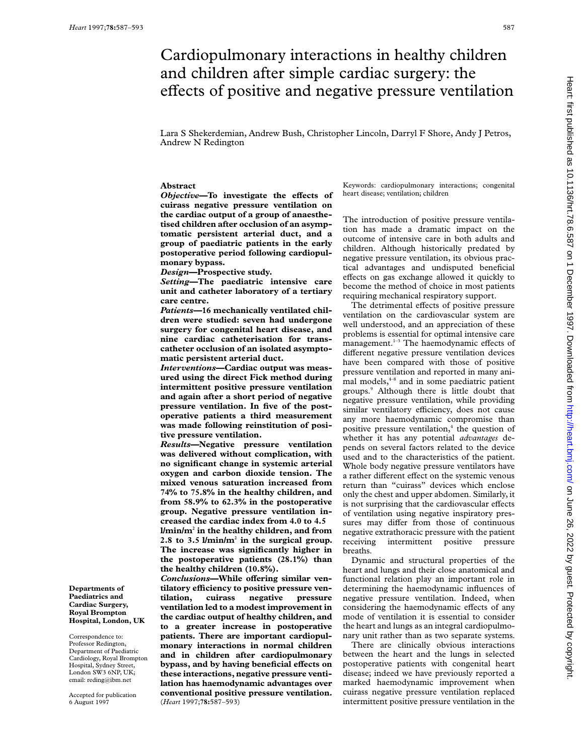# Cardiopulmonary interactions in healthy children and children after simple cardiac surgery: the effects of positive and negative pressure ventilation

Lara S Shekerdemian, Andrew Bush, Christopher Lincoln, Darryl F Shore, Andy J Petros, Andrew N Redington

# **Abstract**

*Objective*—To investigate the effects of **cuirass negative pressure ventilation on the cardiac output of a group of anaesthetised children after occlusion of an asymptomatic persistent arterial duct, and a group of paediatric patients in the early postoperative period following cardiopulmonary bypass.**

*Design***—Prospective study.**

*Setting***—The paediatric intensive care unit and catheter laboratory of a tertiary care centre.**

*Patients***—16 mechanically ventilated children were studied: seven had undergone surgery for congenital heart disease, and nine cardiac catheterisation for transcatheter occlusion of an isolated asymptomatic persistent arterial duct.**

*Interventions***—Cardiac output was measured using the direct Fick method during intermittent positive pressure ventilation and again after a short period of negative pressure ventilation. In five of the postoperative patients a third measurement was made following reinstitution of positive pressure ventilation.**

*Results***—Negative pressure ventilation was delivered without complication, with no significant change in systemic arterial oxygen and carbon dioxide tension. The mixed venous saturation increased from 74% to 75.8% in the healthy children, and from 58.9% to 62.3% in the postoperative group. Negative pressure ventilation increased the cardiac index from 4.0 to 4.5 l/min/m2 in the healthy children, and from 2.8 to 3.5 l/min/m2 in the surgical group. The increase was significantly higher in the postoperative patients (28.1%) than the healthy children (10.8%).**

**Conclusions-While offering similar ventilatory eYciency to positive pressure ventilation, cuirass negative pressure ventilation led to a modest improvement in the cardiac output of healthy children, and to a greater increase in postoperative patients. There are important cardiopulmonary interactions in normal children and in children after cardiopulmonary** bypass, and by having beneficial effects on **these interactions, negative pressure ventilation has haemodynamic advantages over conventional positive pressure ventilation.** (*Heart* 1997;**78:**587–593)

Keywords: cardiopulmonary interactions; congenital heart disease; ventilation; children

The introduction of positive pressure ventilation has made a dramatic impact on the outcome of intensive care in both adults and children. Although historically predated by negative pressure ventilation, its obvious practical advantages and undisputed beneficial effects on gas exchange allowed it quickly to become the method of choice in most patients requiring mechanical respiratory support.

The detrimental effects of positive pressure ventilation on the cardiovascular system are well understood, and an appreciation of these problems is essential for optimal intensive care management.<sup>1-3</sup> The haemodynamic effects of different negative pressure ventilation devices have been compared with those of positive pressure ventilation and reported in many animal models, $4-8$  and in some paediatric patient groups.9 Although there is little doubt that negative pressure ventilation, while providing similar ventilatory efficiency, does not cause any more haemodynamic compromise than positive pressure ventilation, $4$  the question of whether it has any potential *advantages* depends on several factors related to the device used and to the characteristics of the patient. Whole body negative pressure ventilators have a rather different effect on the systemic venous return than "cuirass" devices which enclose only the chest and upper abdomen. Similarly, it is not surprising that the cardiovascular effects of ventilation using negative inspiratory pressures may differ from those of continuous negative extrathoracic pressure with the patient receiving intermittent positive pressure breaths.

Dynamic and structural properties of the heart and lungs and their close anatomical and functional relation play an important role in determining the haemodynamic influences of negative pressure ventilation. Indeed, when considering the haemodynamic effects of any mode of ventilation it is essential to consider the heart and lungs as an integral cardiopulmonary unit rather than as two separate systems.

There are clinically obvious interactions between the heart and the lungs in selected postoperative patients with congenital heart disease; indeed we have previously reported a marked haemodynamic improvement when cuirass negative pressure ventilation replaced intermittent positive pressure ventilation in the

**Departments of Paediatrics and Cardiac Surgery, Royal Brompton Hospital, London, UK**

Correspondence to: Professor Redington, Department of Paediatric Cardiology, Royal Brompton Hospital, Sydney Street, London SW3 6NP, UK; email: reding@ibm.net

Accepted for publication 6 August 1997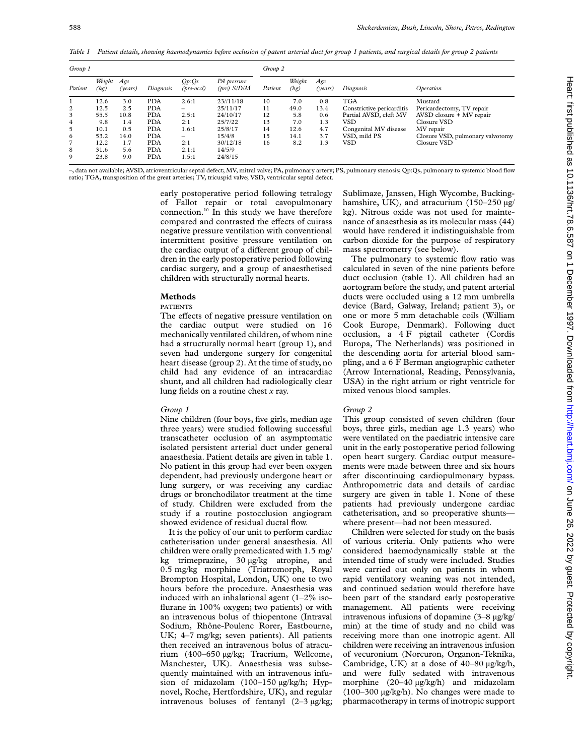*Table 1 Patient details, showing haemodynamics before occlusion of patent arterial duct for group 1 patients, and surgical details for group 2 patients*

| Group 1 |                |                |            |                          |                                       | Group 2 |                |                |                           |                                  |  |  |
|---------|----------------|----------------|------------|--------------------------|---------------------------------------|---------|----------------|----------------|---------------------------|----------------------------------|--|--|
| Patient | Weight<br>(kg) | Age<br>(vears) | Diagnosis  | Op:Os<br>(pre-occl)      | PA pressure<br>$(\text{pre})$ $S/D/M$ | Patient | Weight<br>(kg) | Age<br>(vears) | Diagnosis                 | Operation                        |  |  |
|         | 12.6           | 3.0            | <b>PDA</b> | 2.6:1                    | 23/11/18                              | 10      | 7.0            | 0.8            | <b>TGA</b>                | Mustard                          |  |  |
| 2       | 12.5           | 2.5            | <b>PDA</b> | $\overline{\phantom{0}}$ | 25/11/17                              | 11      | 49.0           | 13.4           | Constrictive pericarditis | Pericardectomy, TV repair        |  |  |
| 3       | 55.5           | 10.8           | <b>PDA</b> | 2.5:1                    | 24/10/17                              | 12      | 5.8            | 0.6            | Partial AVSD, cleft MV    | AVSD closure + MV repair         |  |  |
| 4       | 9.8            | 1.4            | <b>PDA</b> | 2:1                      | 25/7/22                               | 13      | 7.0            | 1.3            | VSD                       | Closure VSD                      |  |  |
| 5       | 10.1           | 0.5            | <b>PDA</b> | 1.6:1                    | 25/8/17                               | 14      | 12.6           | 4.7            | Congenital MV disease     | MV repair                        |  |  |
| 6       | 53.2           | 14.0           | <b>PDA</b> | $\overline{\phantom{0}}$ | 15/4/8                                | 15      | 14.1           | 3.7            | VSD, mild PS              | Closure VSD, pulmonary valvotomy |  |  |
| 7       | 12.2           | 1.7            | <b>PDA</b> | 2:1                      | 30/12/18                              | 16      | 8.2            | 1.3            | VSD                       | Closure VSD                      |  |  |
| 8       | 31.6           | 5.6            | <b>PDA</b> | 2.1:1                    | 14/5/9                                |         |                |                |                           |                                  |  |  |
| 9       | 23.8           | 9.0            | <b>PDA</b> | 1.5:1                    | 24/8/15                               |         |                |                |                           |                                  |  |  |

–, data not available; AVSD, atrioventricular septal defect; MV, mitral valve; PA, pulmonary artery; PS, pulmonary stenosis; Qp:Qs, pulmonary to systemic blood flow ratio; TGA, transposition of the great arteries; TV, tricuspid valve; VSD, ventricular septal defect.

> early postoperative period following tetralogy of Fallot repair or total cavopulmonary connection.10 In this study we have therefore compared and contrasted the effects of cuirass negative pressure ventilation with conventional intermittent positive pressure ventilation on the cardiac output of a different group of children in the early postoperative period following cardiac surgery, and a group of anaesthetised children with structurally normal hearts.

# **Methods**

#### PATIENTS

The effects of negative pressure ventilation on the cardiac output were studied on 16 mechanically ventilated children, of whom nine had a structurally normal heart (group 1), and seven had undergone surgery for congenital heart disease (group 2). At the time of study, no child had any evidence of an intracardiac shunt, and all children had radiologically clear lung fields on a routine chest *x* ray.

# *Group 1*

Nine children (four boys, five girls, median age three years) were studied following successful transcatheter occlusion of an asymptomatic isolated persistent arterial duct under general anaesthesia. Patient details are given in table 1. No patient in this group had ever been oxygen dependent, had previously undergone heart or lung surgery, or was receiving any cardiac drugs or bronchodilator treatment at the time of study. Children were excluded from the study if a routine postocclusion angiogram showed evidence of residual ductal flow.

It is the policy of our unit to perform cardiac catheterisation under general anaesthesia. All children were orally premedicated with 1.5 mg/ kg trimeprazine, 30 µg/kg atropine, and 0.5 mg/kg morphine (Triatromorph, Royal Brompton Hospital, London, UK) one to two hours before the procedure. Anaesthesia was induced with an inhalational agent  $(1-2\%$  isoflurane in 100% oxygen; two patients) or with an intravenous bolus of thiopentone (Intraval Sodium, Rhône-Poulenc Rorer, Eastbourne, UK; 4–7 mg/kg; seven patients). All patients then received an intravenous bolus of atracurium (400–650 µg/kg; Tracrium, Wellcome, Manchester, UK). Anaesthesia was subsequently maintained with an intravenous infusion of midazolam (100–150 µg/kg/h; Hypnovel, Roche, Hertfordshire, UK), and regular intravenous boluses of fentanyl (2–3 µg/kg; Sublimaze, Janssen, High Wycombe, Buckinghamshire, UK), and atracurium (150-250 µg/ kg). Nitrous oxide was not used for maintenance of anaesthesia as its molecular mass (44) would have rendered it indistinguishable from carbon dioxide for the purpose of respiratory mass spectrometry (see below).

The pulmonary to systemic flow ratio was calculated in seven of the nine patients before duct occlusion (table 1). All children had an aortogram before the study, and patent arterial ducts were occluded using a 12 mm umbrella device (Bard, Galway, Ireland; patient 3), or one or more 5 mm detachable coils (William Cook Europe, Denmark). Following duct occlusion, a 4 F pigtail catheter (Cordis Europa, The Netherlands) was positioned in the descending aorta for arterial blood sampling, and a 6 F Berman angiographic catheter (Arrow International, Reading, Pennsylvania, USA) in the right atrium or right ventricle for mixed venous blood samples.

# *Group 2*

This group consisted of seven children (four boys, three girls, median age 1.3 years) who were ventilated on the paediatric intensive care unit in the early postoperative period following open heart surgery. Cardiac output measurements were made between three and six hours after discontinuing cardiopulmonary bypass. Anthropometric data and details of cardiac surgery are given in table 1. None of these patients had previously undergone cardiac catheterisation, and so preoperative shunts where present—had not been measured.

Children were selected for study on the basis of various criteria. Only patients who were considered haemodynamically stable at the intended time of study were included. Studies were carried out only on patients in whom rapid ventilatory weaning was not intended, and continued sedation would therefore have been part of the standard early postoperative management. All patients were receiving intravenous infusions of dopamine (3–8 µg/kg/ min) at the time of study and no child was receiving more than one inotropic agent. All children were receiving an intravenous infusion of vecuronium (Norcuron, Organon-Teknika, Cambridge, UK) at a dose of 40–80 µg/kg/h, and were fully sedated with intravenous morphine (20–40 µg/kg/h) and midazolam (100–300 µg/kg/h). No changes were made to pharmacotherapy in terms of inotropic support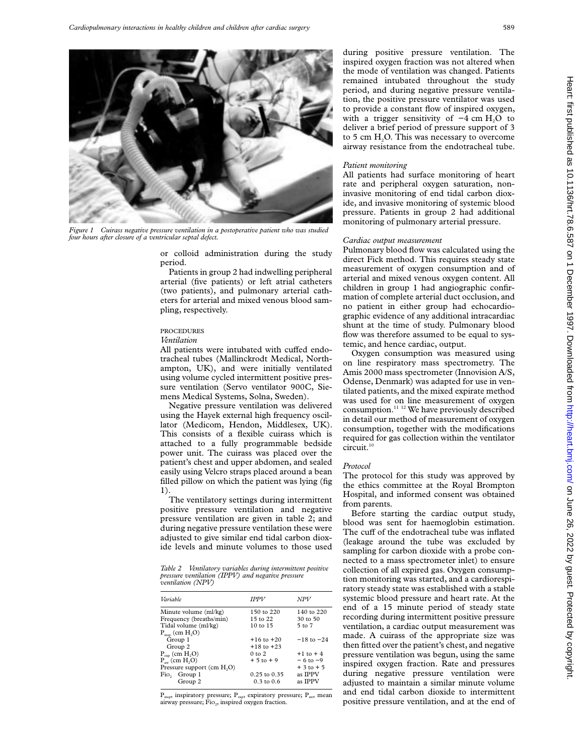

*Figure 1 Cuirass negative pressure ventilation in a postoperative patient who was studied four hours after closure of a ventricular septal defect.*

or colloid administration during the study period.

Patients in group 2 had indwelling peripheral arterial (five patients) or left atrial catheters (two patients), and pulmonary arterial catheters for arterial and mixed venous blood sampling, respectively.

# PROCEDURES

*Ventilation*

All patients were intubated with cuffed endotracheal tubes (Mallinckrodt Medical, Northampton, UK), and were initially ventilated using volume cycled intermittent positive pressure ventilation (Servo ventilator 900C, Siemens Medical Systems, Solna, Sweden).

Negative pressure ventilation was delivered using the Hayek external high frequency oscillator (Medicom, Hendon, Middlesex, UK). This consists of a flexible cuirass which is attached to a fully programmable bedside power unit. The cuirass was placed over the patient's chest and upper abdomen, and sealed easily using Velcro straps placed around a bean filled pillow on which the patient was lying (fig 1).

The ventilatory settings during intermittent positive pressure ventilation and negative pressure ventilation are given in table 2; and during negative pressure ventilation these were adjusted to give similar end tidal carbon dioxide levels and minute volumes to those used

*Table 2 Ventilatory variables during intermittent positive pressure ventilation (IPPV) and negative pressure ventilation (NPV)*

| <b>IPPV</b>           | NPV                 |  |  |
|-----------------------|---------------------|--|--|
| 150 to 220            | 140 to 220          |  |  |
| $15$ to $22$          | $30 \text{ to } 50$ |  |  |
| $10 \text{ to } 15$   | $5$ to $7$          |  |  |
|                       |                     |  |  |
| $+16$ to $+20$        | $-18$ to $-24$      |  |  |
| $+18$ to $+23$        |                     |  |  |
| $0$ to $2$            | $+1$ to $+4$        |  |  |
| $+5$ to $+9$          | $-6$ to $-9$        |  |  |
|                       | $+3$ to $+5$        |  |  |
| $0.25$ to $0.35$      | as IPPV             |  |  |
| $0.3 \text{ to } 0.6$ | as IPPV             |  |  |
|                       |                     |  |  |

 $P_{insp}$ , inspiratory pressure;  $P_{exp}$ , expiratory pressure;  $P_{aw}$ , mean airway pressure; Fio<sub>2</sub>, inspired oxygen fraction.

during positive pressure ventilation. The inspired oxygen fraction was not altered when the mode of ventilation was changed. Patients remained intubated throughout the study period, and during negative pressure ventilation, the positive pressure ventilator was used to provide a constant flow of inspired oxygen, with a trigger sensitivity of  $-4$  cm H<sub>2</sub>O to deliver a brief period of pressure support of 3 to 5 cm  $H_2O$ . This was necessary to overcome airway resistance from the endotracheal tube.

#### *Patient monitoring*

All patients had surface monitoring of heart rate and peripheral oxygen saturation, noninvasive monitoring of end tidal carbon dioxide, and invasive monitoring of systemic blood pressure. Patients in group 2 had additional monitoring of pulmonary arterial pressure.

#### *Cardiac output measurement*

Pulmonary blood flow was calculated using the direct Fick method. This requires steady state measurement of oxygen consumption and of arterial and mixed venous oxygen content. All children in group 1 had angiographic confirmation of complete arterial duct occlusion, and no patient in either group had echocardiographic evidence of any additional intracardiac shunt at the time of study. Pulmonary blood flow was therefore assumed to be equal to systemic, and hence cardiac, output.

Oxygen consumption was measured using on line respiratory mass spectrometry. The Amis 2000 mass spectrometer (Innovision A/S, Odense, Denmark) was adapted for use in ventilated patients, and the mixed expirate method was used for on line measurement of oxygen consumption.11 12 We have previously described in detail our method of measurement of oxygen consumption, together with the modifications required for gas collection within the ventilator circuit.<sup>10</sup>

#### *Protocol*

The protocol for this study was approved by the ethics committee at the Royal Brompton Hospital, and informed consent was obtained from parents.

Before starting the cardiac output study, blood was sent for haemoglobin estimation. The cuff of the endotracheal tube was inflated (leakage around the tube was excluded by sampling for carbon dioxide with a probe connected to a mass spectrometer inlet) to ensure collection of all expired gas. Oxygen consumption monitoring was started, and a cardiorespiratory steady state was established with a stable systemic blood pressure and heart rate. At the end of a 15 minute period of steady state recording during intermittent positive pressure ventilation, a cardiac output measurement was made. A cuirass of the appropriate size was then fitted over the patient's chest, and negative pressure ventilation was begun, using the same inspired oxygen fraction. Rate and pressures during negative pressure ventilation were adjusted to maintain a similar minute volume and end tidal carbon dioxide to intermittent positive pressure ventilation, and at the end of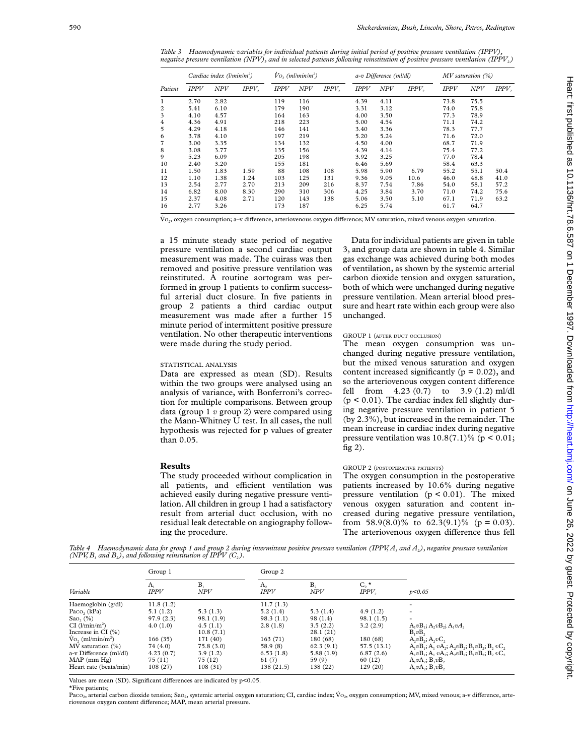*Table 3 Haemodynamic variables for individual patients during initial period of positive pressure ventilation (IPPV), negative pressure ventilation (NPV), and in selected patients following reinstitution of positive pressure ventilation (IPPV<sub>2</sub>)* 

| Patient | Cardiac index $(l/min/m2)$ |      |          | $V_O$ , (ml/min/m <sup>2</sup> ) |     |          | a-v Difference (ml/dl) |      |                   | $MV$ saturation $(\%)$ |            |                   |
|---------|----------------------------|------|----------|----------------------------------|-----|----------|------------------------|------|-------------------|------------------------|------------|-------------------|
|         | <b>IPPV</b>                | NPV  | $IPPV$ , | <b>IPPV</b>                      | NPV | $IPPV$ , | <b>IPPV</b>            | NPV  | IPPV <sub>2</sub> | IPPV                   | <b>NPV</b> | IPPV <sub>2</sub> |
| 1       | 2.70                       | 2.82 |          | 119                              | 116 |          | 4.39                   | 4.11 |                   | 73.8                   | 75.5       |                   |
| 2       | 5.41                       | 6.10 |          | 179                              | 190 |          | 3.31                   | 3.12 |                   | 74.0                   | 75.8       |                   |
| 3       | 4.10                       | 4.57 |          | 164                              | 163 |          | 4.00                   | 3.50 |                   | 77.3                   | 78.9       |                   |
| 4       | 4.36                       | 4.91 |          | 218                              | 223 |          | 5.00                   | 4.54 |                   | 71.1                   | 74.2       |                   |
| 5       | 4.29                       | 4.18 |          | 146                              | 141 |          | 3.40                   | 3.36 |                   | 78.3                   | 77.7       |                   |
| 6       | 3.78                       | 4.10 |          | 197                              | 219 |          | 5.20                   | 5.24 |                   | 71.6                   | 72.0       |                   |
| 7       | 3.00                       | 3.35 |          | 134                              | 132 |          | 4.50                   | 4.00 |                   | 68.7                   | 71.9       |                   |
| 8       | 3.08                       | 3.77 |          | 135                              | 156 |          | 4.39                   | 4.14 |                   | 75.4                   | 77.2       |                   |
| 9       | 5.23                       | 6.09 |          | 205                              | 198 |          | 3.92                   | 3.25 |                   | 77.0                   | 78.4       |                   |
| 10      | 2.40                       | 3.20 |          | 155                              | 181 |          | 6.46                   | 5.69 |                   | 58.4                   | 63.3       |                   |
| 11      | 1.50                       | 1.83 | 1.59     | 88                               | 108 | 108      | 5.98                   | 5.90 | 6.79              | 55.2                   | 55.1       | 50.4              |
| 12      | 1.10                       | 1.38 | 1.24     | 103                              | 125 | 131      | 9.36                   | 9.05 | 10.6              | 46.0                   | 48.8       | 41.0              |
| 13      | 2.54                       | 2.77 | 2.70     | 213                              | 209 | 216      | 8.37                   | 7.54 | 7.86              | 54.0                   | 58.1       | 57.2              |
| 14      | 6.82                       | 8.00 | 8.30     | 290                              | 310 | 306      | 4.25                   | 3.84 | 3.70              | 71.0                   | 74.2       | 75.6              |
| 15      | 2.37                       | 4.08 | 2.71     | 120                              | 143 | 138      | 5.06                   | 3.50 | 5.10              | 67.1                   | 71.9       | 63.2              |
| 16      | 2.77                       | 3.26 |          | 173                              | 187 |          | 6.25                   | 5.74 |                   | 61.7                   | 64.7       |                   |

 $\dot{V}$ O<sub>2</sub>, oxygen consumption; a-v difference, arteriovenous oxygen difference; MV saturation, mixed venous oxygen saturation.

a 15 minute steady state period of negative pressure ventilation a second cardiac output measurement was made. The cuirass was then removed and positive pressure ventilation was reinstituted. A routine aortogram was performed in group 1 patients to confirm successful arterial duct closure. In five patients in group 2 patients a third cardiac output measurement was made after a further 15 minute period of intermittent positive pressure ventilation. No other therapeutic interventions were made during the study period.

#### STATISTICAL ANALYSIS

Data are expressed as mean (SD). Results within the two groups were analysed using an analysis of variance, with Bonferroni's correction for multiple comparisons. Between group data (group 1 *v* group 2) were compared using the Mann-Whitney U test. In all cases, the null hypothesis was rejected for p values of greater than 0.05.

# **Results**

The study proceeded without complication in all patients, and efficient ventilation was achieved easily during negative pressure ventilation. All children in group 1 had a satisfactory result from arterial duct occlusion, with no residual leak detectable on angiography following the procedure.

Data for individual patients are given in table 3, and group data are shown in table 4. Similar gas exchange was achieved during both modes of ventilation, as shown by the systemic arterial carbon dioxide tension and oxygen saturation, both of which were unchanged during negative pressure ventilation. Mean arterial blood pressure and heart rate within each group were also unchanged.

#### GROUP 1 (AFTER DUCT OCCLUSION)

The mean oxygen consumption was unchanged during negative pressure ventilation, but the mixed venous saturation and oxygen content increased significantly ( $p = 0.02$ ), and so the arteriovenous oxygen content difference fell from 4.23 (0.7) to 3.9 (1.2) ml/dl  $(p < 0.01)$ . The cardiac index fell slightly during negative pressure ventilation in patient 5 (by 2.3%), but increased in the remainder. The mean increase in cardiac index during negative pressure ventilation was  $10.8(7.1)\%$  (p < 0.01; fig  $2$ ).

# GROUP 2 (POSTOPERATIVE PATIENTS)

The oxygen consumption in the postoperative patients increased by 10.6% during negative pressure ventilation  $(p < 0.01)$ . The mixed venous oxygen saturation and content increased during negative pressure ventilation, from 58.9(8.0)% to 62.3(9.1)% ( $p = 0.03$ ). The arteriovenous oxygen difference thus fell

Table 4 Haemodynamic data for group 1 and group 2 during intermittent positive pressure ventilation (IPPV,  $A_1$  and  $A_2$ ), negative pressure ventilation *(NPV, B<sub>1</sub> and B<sub>2</sub>), and following reinstitution of IPPV (C<sub>2</sub>).* 

|                                       | Group 1    |              | Group 2           |                       |                        |                                                           |
|---------------------------------------|------------|--------------|-------------------|-----------------------|------------------------|-----------------------------------------------------------|
| Variable                              | А,<br>IPPV | $B_1$<br>NPV | A,<br><b>IPPV</b> | B <sub>2</sub><br>NPV | $C, \star$<br>$IPPV$ , | p<0.05                                                    |
| Haemoglobin (g/dl)                    | 11.8(1.2)  |              | 11.7(1.3)         |                       |                        |                                                           |
| Paco, (kPa)                           | 5.1(1.2)   | 5.3(1.3)     | 5.2(1.4)          | 5.3(1.4)              | 4.9(1.2)               |                                                           |
| Sao, $(\%)$                           | 97.9(2.3)  | 98.1 (1.9)   | 98.3(1.1)         | 98(1.4)               | 98.1(1.5)              | -                                                         |
| $CI$ (l/min/m <sup>2</sup> )          | 4.0(1.0)   | 4.5(1.1)     | 2.8(1.8)          | 3.5(2.2)              | 3.2(2.9)               | $A_1vB_1$ ; $A_2vB_2$ ; $A_1vA_2$                         |
| Increase in CI $(%)$                  |            | 10.8(7.1)    |                   | 28.1(21)              |                        | $B_1vB_2$                                                 |
| $\rm Vo_{2}$ (ml/min/m <sup>2</sup> ) | 166 (35)   | 171 (40)     | 163(71)           | 180 (68)              | 180 (68)               | $A_vB_v, A_vC_v$                                          |
| $MV$ saturation $(\%)$                | 74 (4.0)   | 75.8(3.0)    | 58.9 (8)          | 62.3(9.1)             | 57.5(13.1)             | $A_1vB_1$ ; $A_1vA_2$ ; $A_2vB_2$ ; $B_1vB_2$ ; $B_2vC_2$ |
| a-v Difference (ml/dl)                | 4.23(0.7)  | 3.9(1.2)     | 6.53(1.8)         | 5.88(1.9)             | 6.87(2.6)              | $A_1vB_1$ ; $A_1vA_2$ ; $A_2vB_2$ ; $B_1vB_2$ ; $B_2vC_2$ |
| MAP (mm Hg)                           | 75(11)     | 75 (12)      | 61(7)             | 59 (9)                | 60 (12)                | $A_1vA_2$ ; $B_1vB_2$                                     |
| Heart rate (beats/min)                | 108(27)    | 108(31)      | 138 (21.5)        | 138 (22)              | 129 (20)               | $A_1vA_2$ ; $B_1vB_2$                                     |

Values are mean (SD). Significant differences are indicated by  $p<0.05$ .

\*Five patients;

PacO<sub>2</sub>, arterial carbon dioxide tension; SaO<sub>2</sub>, systemic arterial oxygen saturation; CI, cardiac index; V<sub>O2</sub>, oxygen consumption; MV, mixed venous; a-v difference, arteriovenous oxygen content difference; MAP, mean arterial pressure.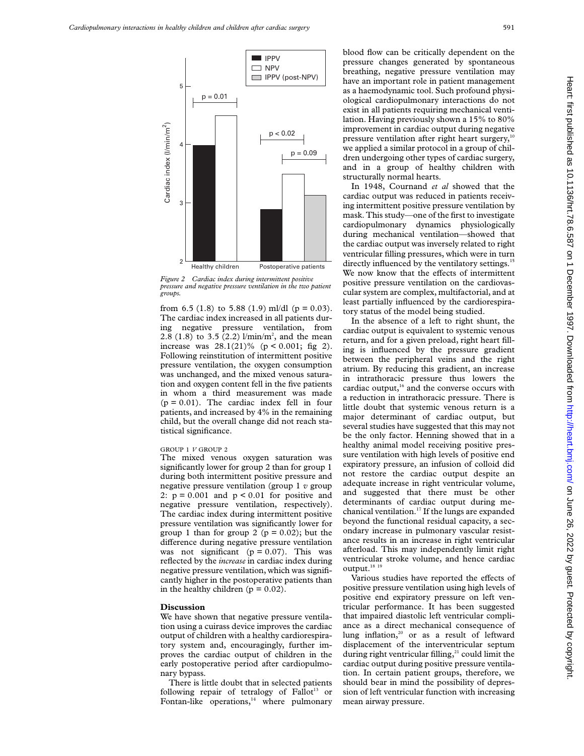

*Figure 2 Cardiac index during intermittent positive pressure and negative pressure ventilation in the two patient groups.*

from 6.5 (1.8) to 5.88 (1.9) ml/dl ( $p = 0.03$ ). The cardiac index increased in all patients during negative pressure ventilation, from 2.8 (1.8) to 3.5 (2.2)  $1/\text{min/m}^2$ , and the mean increase was  $28.1(21)\%$  (p < 0.001; fig 2). Following reinstitution of intermittent positive pressure ventilation, the oxygen consumption was unchanged, and the mixed venous saturation and oxygen content fell in the five patients in whom a third measurement was made  $(p = 0.01)$ . The cardiac index fell in four patients, and increased by 4% in the remaining child, but the overall change did not reach statistical significance.

### GROUP 1 *V* GROUP 2

The mixed venous oxygen saturation was significantly lower for group 2 than for group 1 during both intermittent positive pressure and negative pressure ventilation (group 1 *v* group 2:  $p = 0.001$  and  $p < 0.01$  for positive and negative pressure ventilation, respectively). The cardiac index during intermittent positive pressure ventilation was significantly lower for group 1 than for group 2 ( $p = 0.02$ ); but the difference during negative pressure ventilation was not significant ( $p = 0.07$ ). This was reflected by the *increase* in cardiac index during negative pressure ventilation, which was significantly higher in the postoperative patients than in the healthy children ( $p = 0.02$ ).

# **Discussion**

We have shown that negative pressure ventilation using a cuirass device improves the cardiac output of children with a healthy cardiorespiratory system and, encouragingly, further improves the cardiac output of children in the early postoperative period after cardiopulmonary bypass.

There is little doubt that in selected patients following repair of tetralogy of  $Fallot<sup>13</sup>$  or Fontan-like operations, $14$  where pulmonary

blood flow can be critically dependent on the pressure changes generated by spontaneous breathing, negative pressure ventilation may have an important role in patient management as a haemodynamic tool. Such profound physiological cardiopulmonary interactions do not exist in all patients requiring mechanical ventilation. Having previously shown a 15% to 80% improvement in cardiac output during negative pressure ventilation after right heart surgery,<sup>10</sup> we applied a similar protocol in a group of children undergoing other types of cardiac surgery, and in a group of healthy children with structurally normal hearts.

In 1948, Cournand *et al* showed that the cardiac output was reduced in patients receiving intermittent positive pressure ventilation by mask. This study—one of the first to investigate cardiopulmonary dynamics physiologically during mechanical ventilation—showed that the cardiac output was inversely related to right ventricular filling pressures, which were in turn directly influenced by the ventilatory settings.<sup>15</sup> We now know that the effects of intermittent positive pressure ventilation on the cardiovascular system are complex, multifactorial, and at least partially influenced by the cardiorespiratory status of the model being studied.

In the absence of a left to right shunt, the cardiac output is equivalent to systemic venous return, and for a given preload, right heart filling is influenced by the pressure gradient between the peripheral veins and the right atrium. By reducing this gradient, an increase in intrathoracic pressure thus lowers the cardiac output,<sup>16</sup> and the converse occurs with a reduction in intrathoracic pressure. There is little doubt that systemic venous return is a major determinant of cardiac output, but several studies have suggested that this may not be the only factor. Henning showed that in a healthy animal model receiving positive pressure ventilation with high levels of positive end expiratory pressure, an infusion of colloid did not restore the cardiac output despite an adequate increase in right ventricular volume, and suggested that there must be other determinants of cardiac output during mechanical ventilation.17 If the lungs are expanded beyond the functional residual capacity, a secondary increase in pulmonary vascular resistance results in an increase in right ventricular afterload. This may independently limit right ventricular stroke volume, and hence cardiac output. $^{\rm 18}$   $^{\rm 19}$ 

Various studies have reported the effects of positive pressure ventilation using high levels of positive end expiratory pressure on left ventricular performance. It has been suggested that impaired diastolic left ventricular compliance as a direct mechanical consequence of lung inflation, $20$  or as a result of leftward displacement of the interventricular septum during right ventricular filling, $21$  could limit the cardiac output during positive pressure ventilation. In certain patient groups, therefore, we should bear in mind the possibility of depression of left ventricular function with increasing mean airway pressure.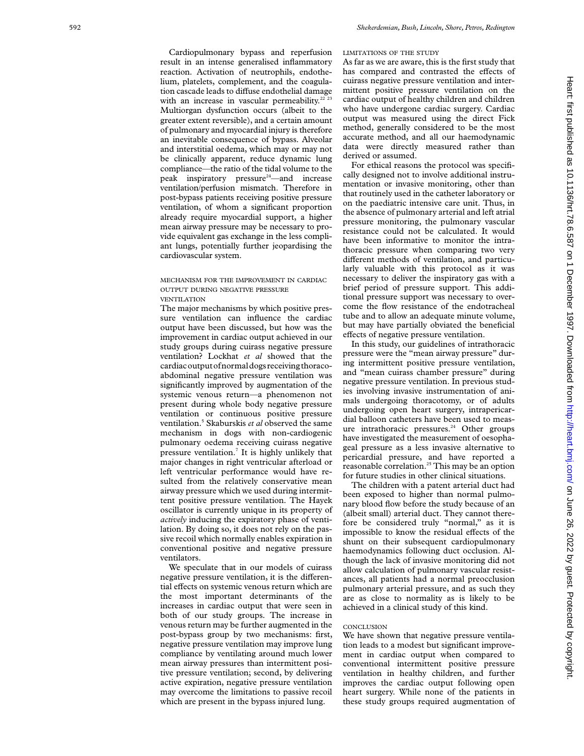Cardiopulmonary bypass and reperfusion result in an intense generalised inflammatory reaction. Activation of neutrophils, endothelium, platelets, complement, and the coagulation cascade leads to diffuse endothelial damage with an increase in vascular permeability. $22^{23}$ Multiorgan dysfunction occurs (albeit to the greater extent reversible), and a certain amount of pulmonary and myocardial injury is therefore an inevitable consequence of bypass. Alveolar and interstitial oedema, which may or may not be clinically apparent, reduce dynamic lung compliance—the ratio of the tidal volume to the peak inspiratory pressure<sup>24</sup>—and increase ventilation/perfusion mismatch. Therefore in post-bypass patients receiving positive pressure ventilation, of whom a significant proportion already require myocardial support, a higher mean airway pressure may be necessary to provide equivalent gas exchange in the less compliant lungs, potentially further jeopardising the cardiovascular system.

# MECHANISM FOR THE IMPROVEMENT IN CARDIAC OUTPUT DURING NEGATIVE PRESSURE VENTILATION

The major mechanisms by which positive pressure ventilation can influence the cardiac output have been discussed, but how was the improvement in cardiac output achieved in our study groups during cuirass negative pressure ventilation? Lockhat *et al* showed that the cardiacoutputofnormaldogs receiving thoracoabdominal negative pressure ventilation was significantly improved by augmentation of the systemic venous return—a phenomenon not present during whole body negative pressure ventilation or continuous positive pressure ventilation. <sup>5</sup> Skaburskis *et al* observed the same mechanism in dogs with non-cardiogenic pulmonary oedema receiving cuirass negative pressure ventilation. <sup>7</sup> It is highly unlikely that major changes in right ventricular afterload or left ventricular performance would have resulted from the relatively conservative mean airway pressure which we used during intermittent positive pressure ventilation. The Hayek oscillator is currently unique in its property of *actively* inducing the expiratory phase of ventilation. By doing so, it does not rely on the passive recoil which normally enables expiration in conventional positive and negative pressure ventilators.

We speculate that in our models of cuirass negative pressure ventilation, it is the differential effects on systemic venous return which are the most important determinants of the increases in cardiac output that were seen in both of our study groups. The increase in venous return may be further augmented in the post-bypass group by two mechanisms: first, negative pressure ventilation may improve lung compliance by ventilating around much lower mean airway pressures than intermittent positive pressure ventilation; second, by delivering active expiration, negative pressure ventilation may overcome the limitations to passive recoil which are present in the bypass injured lung.

LIMITATIONS OF THE STUDY

As far as we are aware, this is the first study that has compared and contrasted the effects of cuirass negative pressure ventilation and intermittent positive pressure ventilation on the cardiac output of healthy children and children who have undergone cardiac surgery. Cardiac output was measured using the direct Fick method, generally considered to be the most accurate method, and all our haemodynamic data were directly measured rather than derived or assumed.

For ethical reasons the protocol was specifically designed not to involve additional instrumentation or invasive monitoring, other than that routinely used in the catheter laboratory or on the paediatric intensive care unit. Thus, in the absence of pulmonary arterial and left atrial pressure monitoring, the pulmonary vascular resistance could not be calculated. It would have been informative to monitor the intrathoracic pressure when comparing two very different methods of ventilation, and particularly valuable with this protocol as it was necessary to deliver the inspiratory gas with a brief period of pressure support. This additional pressure support was necessary to overcome the flow resistance of the endotracheal tube and to allow an adequate minute volume, but may have partially obviated the beneficial effects of negative pressure ventilation.

In this study, our guidelines of intrathoracic pressure were the "mean airway pressure" during intermittent positive pressure ventilation, and "mean cuirass chamber pressure" during negative pressure ventilation. In previous studies involving invasive instrumentation of animals undergoing thoracotomy, or of adults undergoing open heart surgery, intrapericardial balloon catheters have been used to measure intrathoracic pressures.<sup>24</sup> Other groups have investigated the measurement of oesophageal pressure as a less invasive alternative to pericardial pressure, and have reported a reasonable correlation.<sup>25</sup> This may be an option for future studies in other clinical situations.

The children with a patent arterial duct had been exposed to higher than normal pulmonary blood flow before the study because of an (albeit small) arterial duct. They cannot therefore be considered truly "normal," as it is impossible to know the residual effects of the shunt on their subsequent cardiopulmonary haemodynamics following duct occlusion. Although the lack of invasive monitoring did not allow calculation of pulmonary vascular resistances, all patients had a normal preocclusion pulmonary arterial pressure, and as such they are as close to normality as is likely to be achieved in a clinical study of this kind.

# **CONCLUSION**

We have shown that negative pressure ventilation leads to a modest but significant improvement in cardiac output when compared to conventional intermittent positive pressure ventilation in healthy children, and further improves the cardiac output following open heart surgery. While none of the patients in these study groups required augmentation of